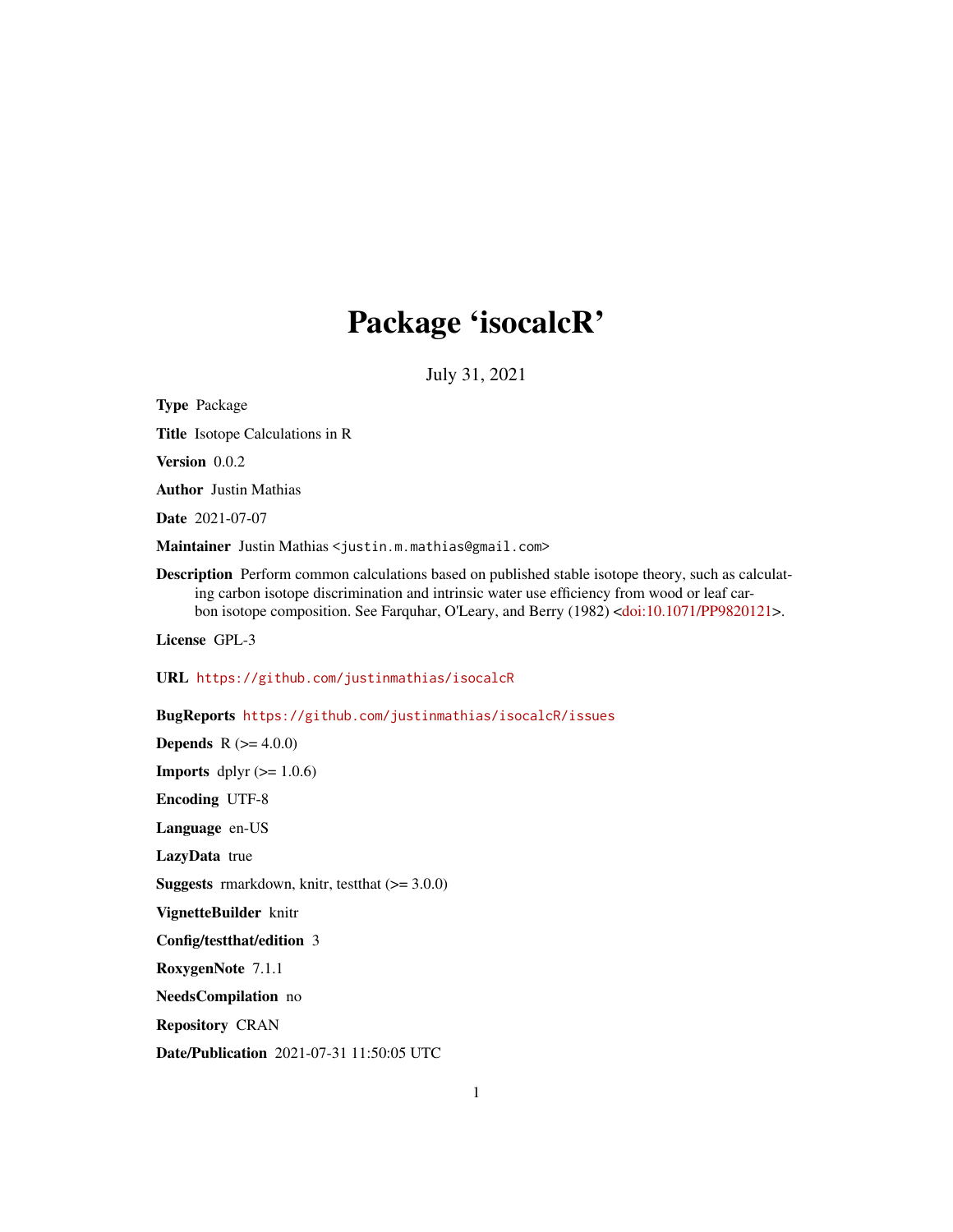# Package 'isocalcR'

July 31, 2021

Type Package Title Isotope Calculations in R Version 0.0.2 Author Justin Mathias Date 2021-07-07 Maintainer Justin Mathias <justin.m.mathias@gmail.com> Description Perform common calculations based on published stable isotope theory, such as calculating carbon isotope discrimination and intrinsic water use efficiency from wood or leaf carbon isotope composition. See Farquhar, O'Leary, and Berry (1982) [<doi:10.1071/PP9820121>](https://doi.org/10.1071/PP9820121). License GPL-3 URL <https://github.com/justinmathias/isocalcR> BugReports <https://github.com/justinmathias/isocalcR/issues> **Depends**  $R (= 4.0.0)$ **Imports** dplyr  $(>= 1.0.6)$ Encoding UTF-8 Language en-US LazyData true **Suggests** rmarkdown, knitr, test that  $(>= 3.0.0)$ VignetteBuilder knitr Config/testthat/edition 3 RoxygenNote 7.1.1 NeedsCompilation no Repository CRAN

Date/Publication 2021-07-31 11:50:05 UTC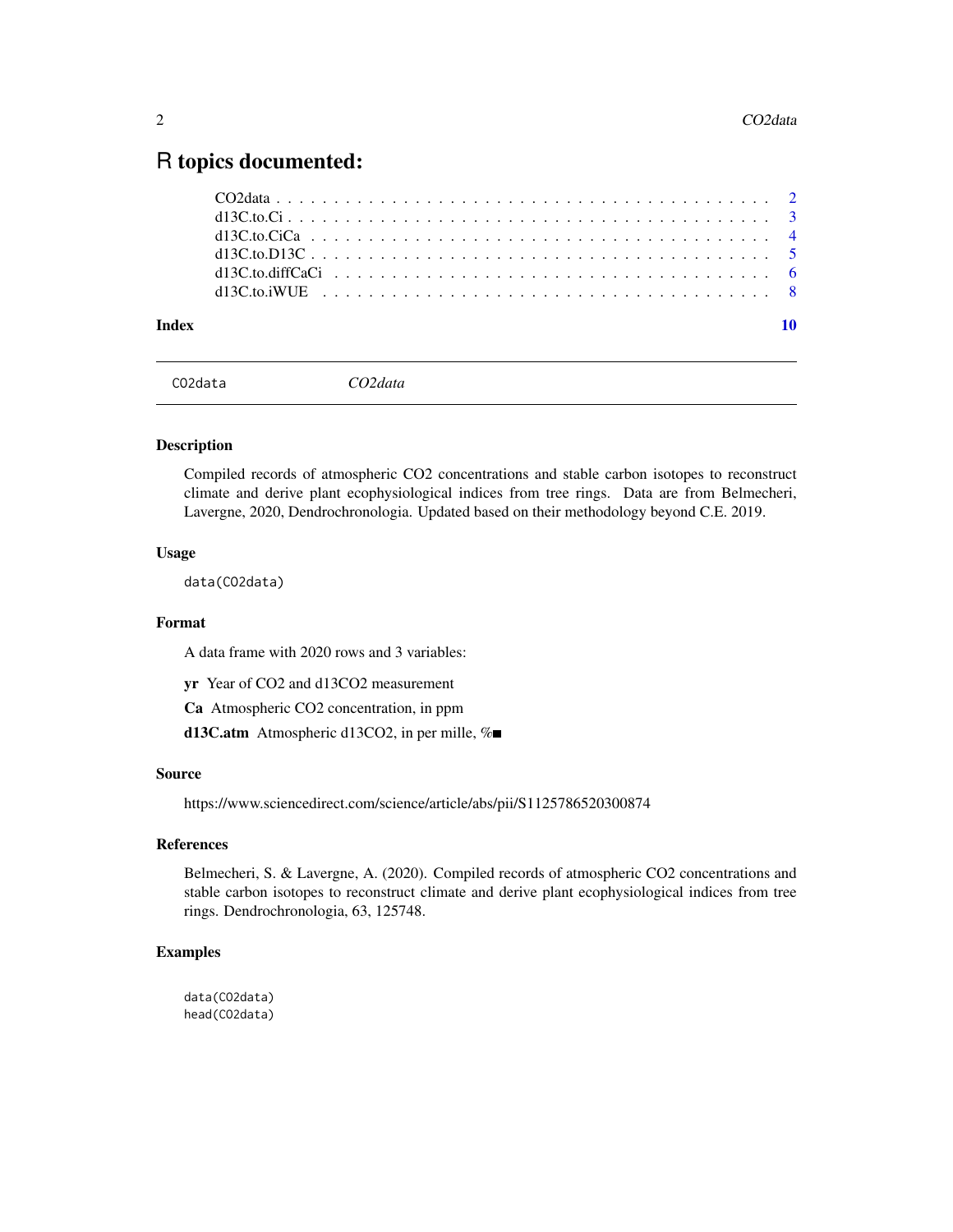# <span id="page-1-0"></span>R topics documented:

#### $\blacksquare$

CO2data *CO2data*

# Description

Compiled records of atmospheric CO2 concentrations and stable carbon isotopes to reconstruct climate and derive plant ecophysiological indices from tree rings. Data are from Belmecheri, Lavergne, 2020, Dendrochronologia. Updated based on their methodology beyond C.E. 2019.

#### Usage

data(CO2data)

# Format

A data frame with 2020 rows and 3 variables:

yr Year of CO2 and d13CO2 measurement

Ca Atmospheric CO2 concentration, in ppm

d13C.atm Atmospheric d13CO2, in per mille, %■

#### Source

https://www.sciencedirect.com/science/article/abs/pii/S1125786520300874

# References

Belmecheri, S. & Lavergne, A. (2020). Compiled records of atmospheric CO2 concentrations and stable carbon isotopes to reconstruct climate and derive plant ecophysiological indices from tree rings. Dendrochronologia, 63, 125748.

# Examples

data(CO2data) head(CO2data)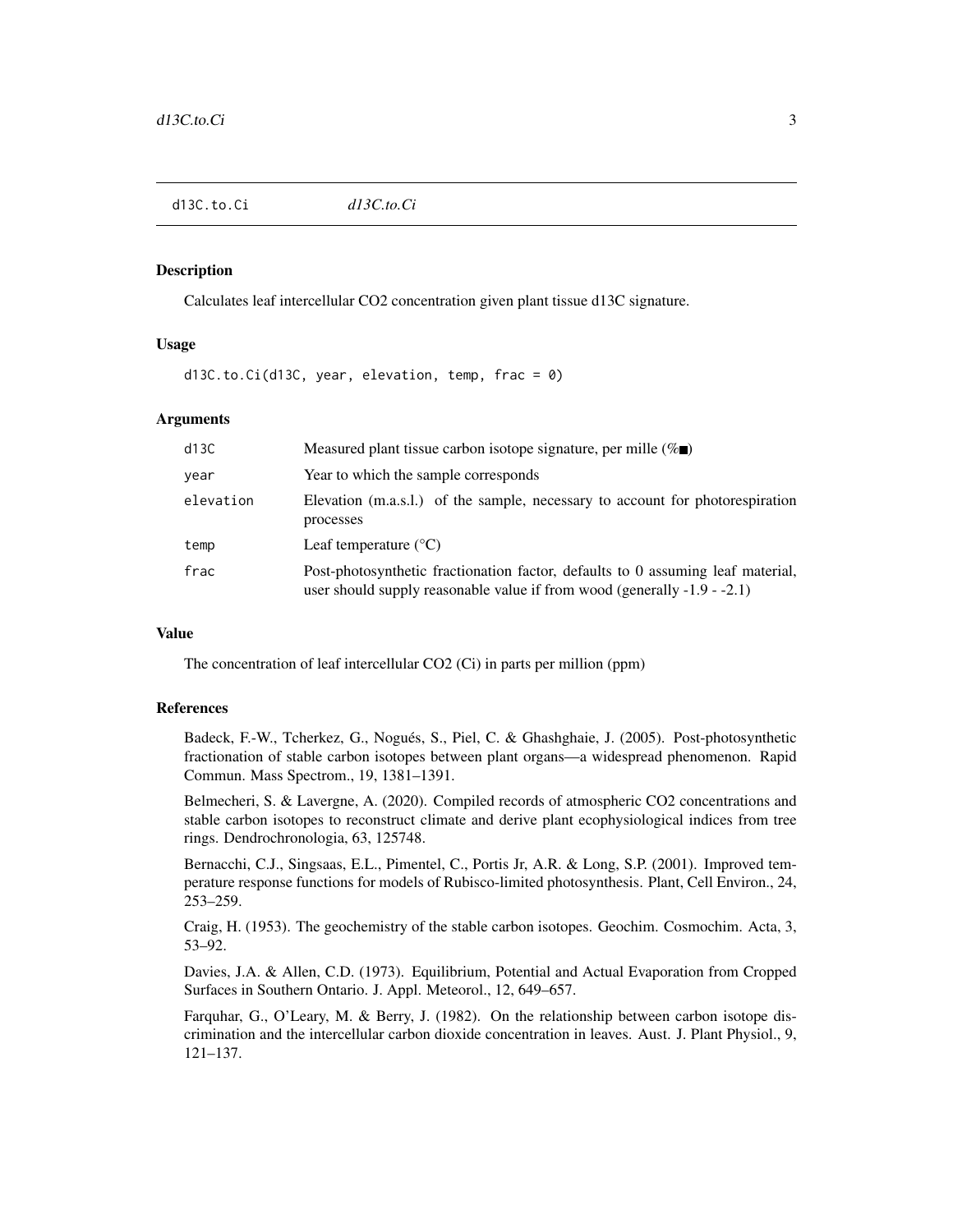# <span id="page-2-0"></span>Description

Calculates leaf intercellular CO2 concentration given plant tissue d13C signature.

# Usage

d13C.to.Ci(d13C, year, elevation, temp, frac = 0)

# Arguments

| d13C      | Measured plant tissue carbon isotope signature, per mille $(\%$ .                                                                                              |
|-----------|----------------------------------------------------------------------------------------------------------------------------------------------------------------|
| year      | Year to which the sample corresponds                                                                                                                           |
| elevation | Elevation (m.a.s.l.) of the sample, necessary to account for photorespiration<br>processes                                                                     |
| temp      | Leaf temperature $(^{\circ}C)$                                                                                                                                 |
| frac      | Post-photosynthetic fractionation factor, defaults to 0 assuming leaf material,<br>user should supply reasonable value if from wood (generally $-1.9 - -2.1$ ) |

# Value

The concentration of leaf intercellular CO2 (Ci) in parts per million (ppm)

#### References

Badeck, F.-W., Tcherkez, G., Nogués, S., Piel, C. & Ghashghaie, J. (2005). Post-photosynthetic fractionation of stable carbon isotopes between plant organs—a widespread phenomenon. Rapid Commun. Mass Spectrom., 19, 1381–1391.

Belmecheri, S. & Lavergne, A. (2020). Compiled records of atmospheric CO2 concentrations and stable carbon isotopes to reconstruct climate and derive plant ecophysiological indices from tree rings. Dendrochronologia, 63, 125748.

Bernacchi, C.J., Singsaas, E.L., Pimentel, C., Portis Jr, A.R. & Long, S.P. (2001). Improved temperature response functions for models of Rubisco-limited photosynthesis. Plant, Cell Environ., 24, 253–259.

Craig, H. (1953). The geochemistry of the stable carbon isotopes. Geochim. Cosmochim. Acta, 3, 53–92.

Davies, J.A. & Allen, C.D. (1973). Equilibrium, Potential and Actual Evaporation from Cropped Surfaces in Southern Ontario. J. Appl. Meteorol., 12, 649–657.

Farquhar, G., O'Leary, M. & Berry, J. (1982). On the relationship between carbon isotope discrimination and the intercellular carbon dioxide concentration in leaves. Aust. J. Plant Physiol., 9, 121–137.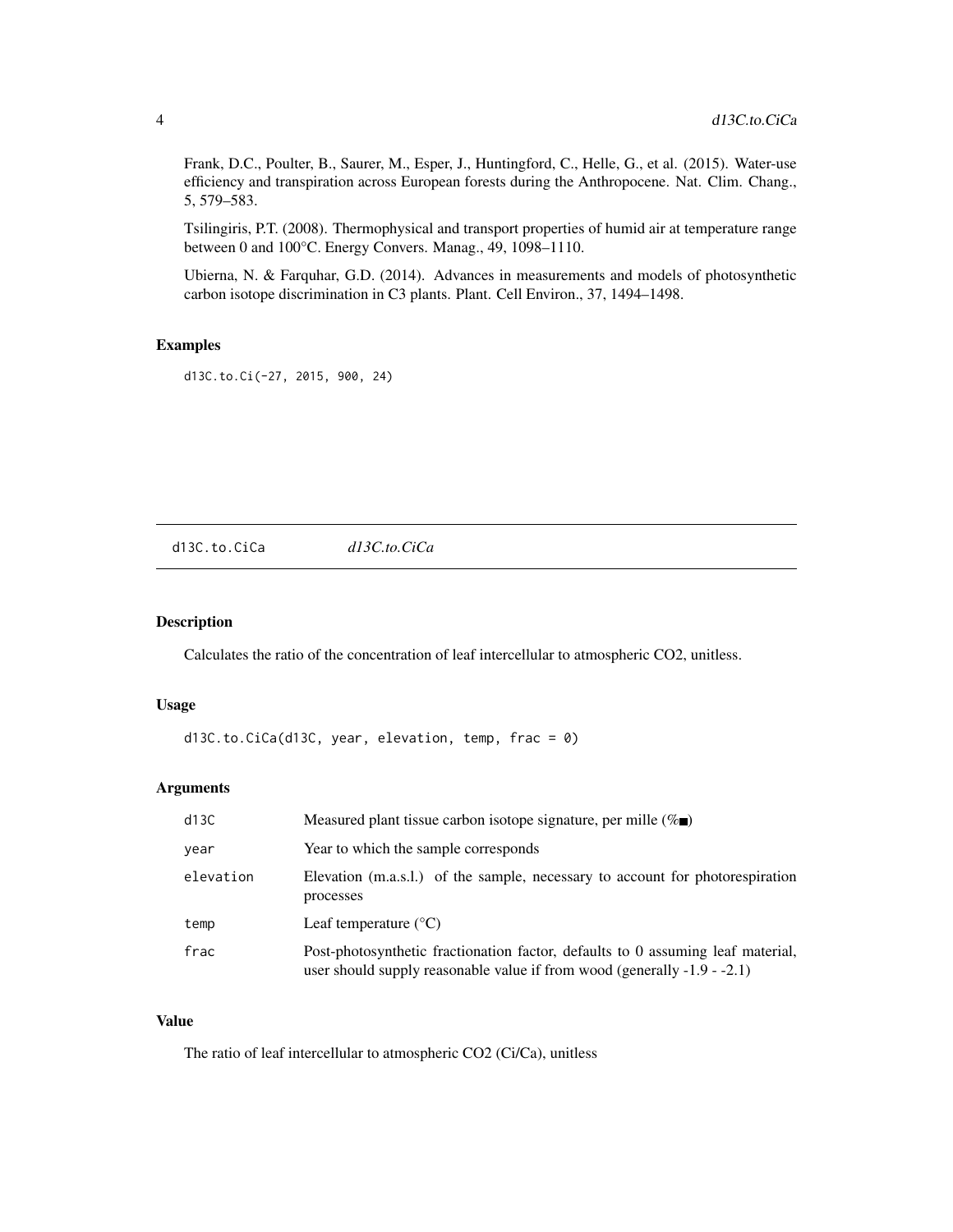<span id="page-3-0"></span>Frank, D.C., Poulter, B., Saurer, M., Esper, J., Huntingford, C., Helle, G., et al. (2015). Water-use efficiency and transpiration across European forests during the Anthropocene. Nat. Clim. Chang., 5, 579–583.

Tsilingiris, P.T. (2008). Thermophysical and transport properties of humid air at temperature range between 0 and 100°C. Energy Convers. Manag., 49, 1098–1110.

Ubierna, N. & Farquhar, G.D. (2014). Advances in measurements and models of photosynthetic carbon isotope discrimination in C3 plants. Plant. Cell Environ., 37, 1494–1498.

# Examples

d13C.to.Ci(-27, 2015, 900, 24)

d13C.to.CiCa *d13C.to.CiCa*

#### Description

Calculates the ratio of the concentration of leaf intercellular to atmospheric CO2, unitless.

#### Usage

```
d13C.to.CiCa(d13C, year, elevation, temp, frac = <math>0</math>)
```
# Arguments

| d13C      | Measured plant tissue carbon isotope signature, per mille $(\% \blacksquare)$                                                                                  |
|-----------|----------------------------------------------------------------------------------------------------------------------------------------------------------------|
| year      | Year to which the sample corresponds                                                                                                                           |
| elevation | Elevation (m.a.s.l.) of the sample, necessary to account for photorespiration<br>processes                                                                     |
| temp      | Leaf temperature $(^{\circ}C)$                                                                                                                                 |
| frac      | Post-photosynthetic fractionation factor, defaults to 0 assuming leaf material,<br>user should supply reasonable value if from wood (generally $-1.9 - -2.1$ ) |

# Value

The ratio of leaf intercellular to atmospheric CO2 (Ci/Ca), unitless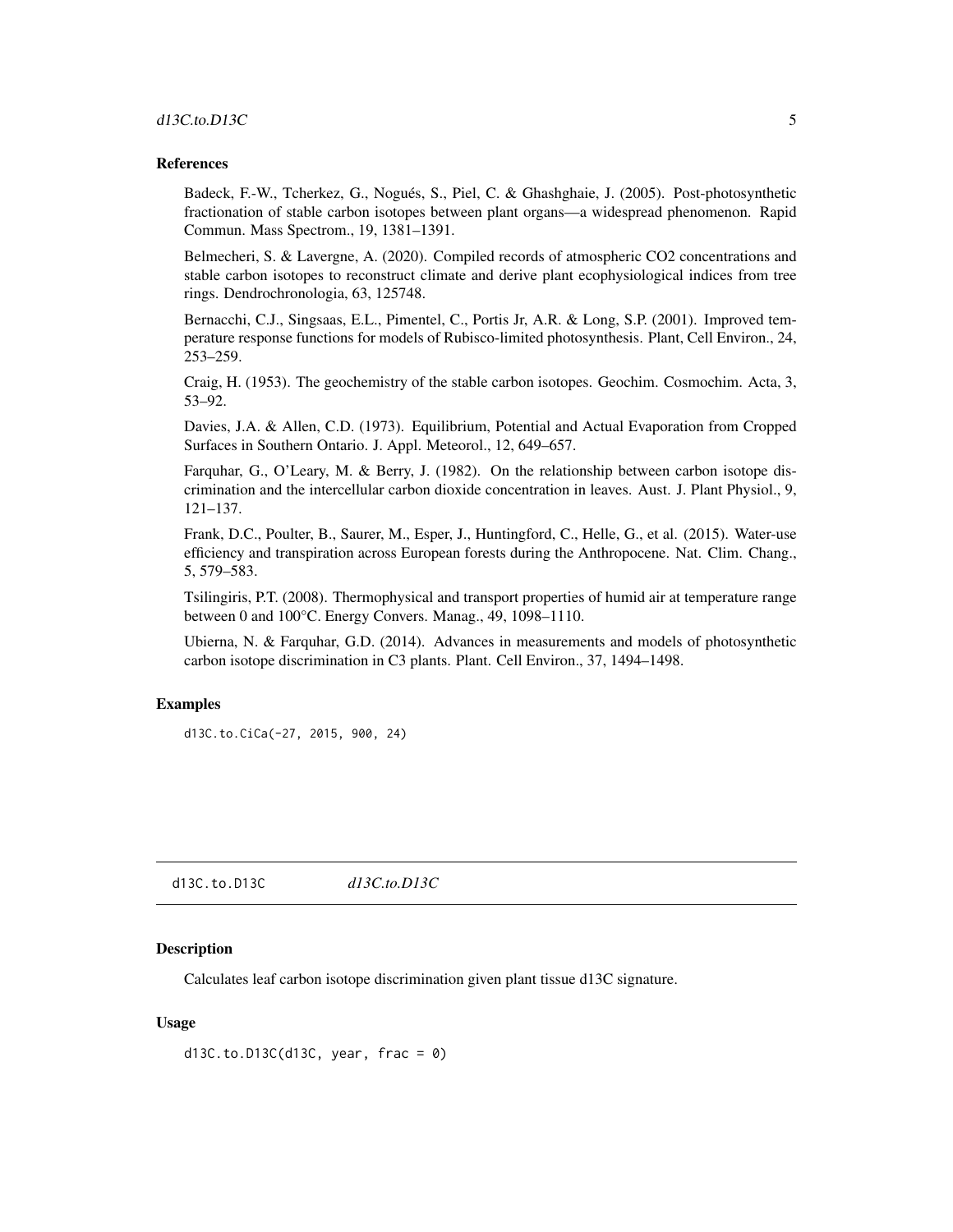# <span id="page-4-0"></span>d13C.to.D13C 5

# References

Badeck, F.-W., Tcherkez, G., Nogués, S., Piel, C. & Ghashghaie, J. (2005). Post-photosynthetic fractionation of stable carbon isotopes between plant organs—a widespread phenomenon. Rapid Commun. Mass Spectrom., 19, 1381–1391.

Belmecheri, S. & Lavergne, A. (2020). Compiled records of atmospheric CO2 concentrations and stable carbon isotopes to reconstruct climate and derive plant ecophysiological indices from tree rings. Dendrochronologia, 63, 125748.

Bernacchi, C.J., Singsaas, E.L., Pimentel, C., Portis Jr, A.R. & Long, S.P. (2001). Improved temperature response functions for models of Rubisco-limited photosynthesis. Plant, Cell Environ., 24, 253–259.

Craig, H. (1953). The geochemistry of the stable carbon isotopes. Geochim. Cosmochim. Acta, 3, 53–92.

Davies, J.A. & Allen, C.D. (1973). Equilibrium, Potential and Actual Evaporation from Cropped Surfaces in Southern Ontario. J. Appl. Meteorol., 12, 649–657.

Farquhar, G., O'Leary, M. & Berry, J. (1982). On the relationship between carbon isotope discrimination and the intercellular carbon dioxide concentration in leaves. Aust. J. Plant Physiol., 9, 121–137.

Frank, D.C., Poulter, B., Saurer, M., Esper, J., Huntingford, C., Helle, G., et al. (2015). Water-use efficiency and transpiration across European forests during the Anthropocene. Nat. Clim. Chang., 5, 579–583.

Tsilingiris, P.T. (2008). Thermophysical and transport properties of humid air at temperature range between 0 and 100°C. Energy Convers. Manag., 49, 1098–1110.

Ubierna, N. & Farquhar, G.D. (2014). Advances in measurements and models of photosynthetic carbon isotope discrimination in C3 plants. Plant. Cell Environ., 37, 1494–1498.

# Examples

d13C.to.CiCa(-27, 2015, 900, 24)

d13C.to.D13C *d13C.to.D13C*

# Description

Calculates leaf carbon isotope discrimination given plant tissue d13C signature.

# Usage

```
d13C.to.D13C(d13C, year, frac = <math>0</math>)
```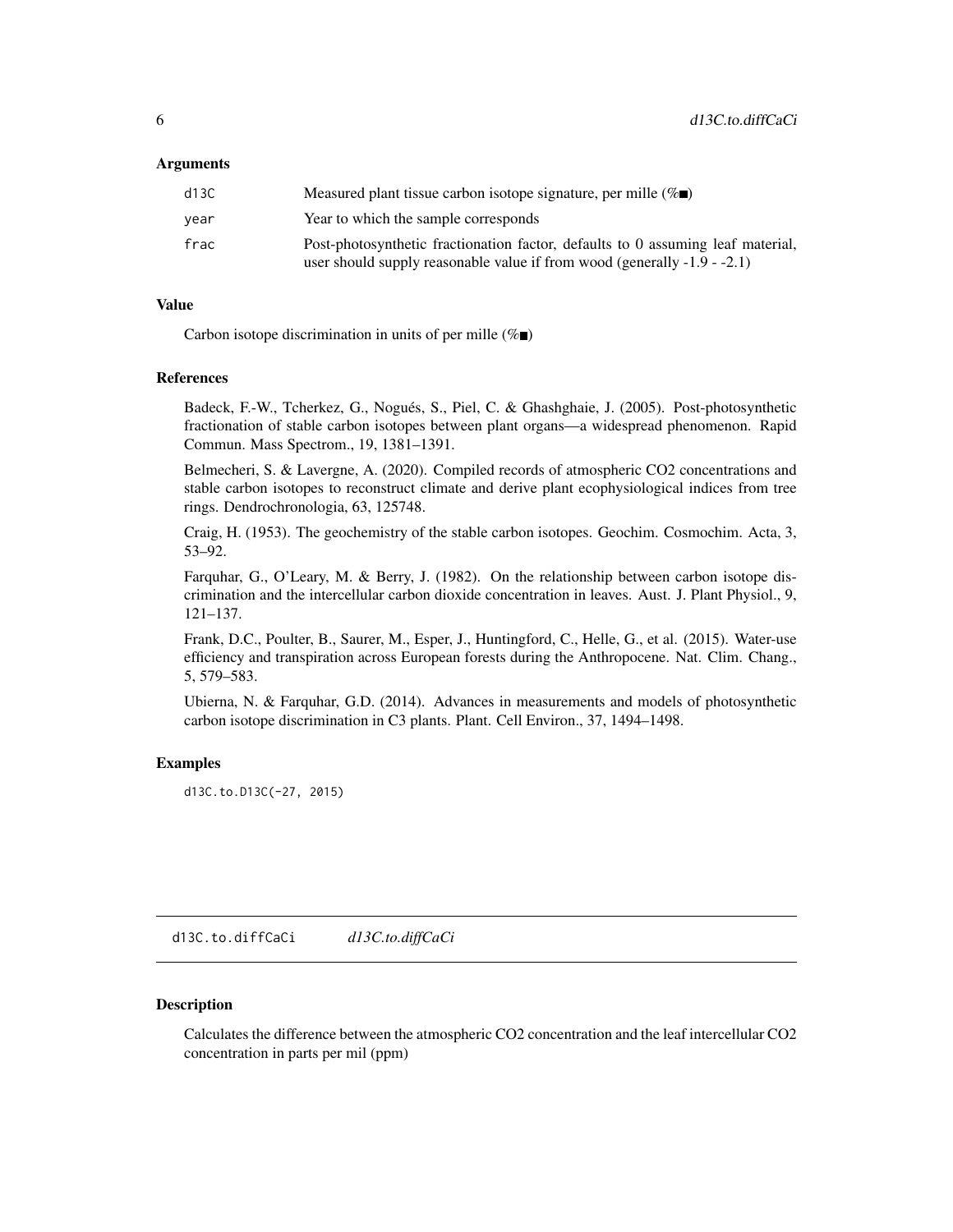# <span id="page-5-0"></span>Arguments

| d13C | Measured plant tissue carbon isotope signature, per mille $(\% \blacksquare)$                                                                                  |
|------|----------------------------------------------------------------------------------------------------------------------------------------------------------------|
| vear | Year to which the sample corresponds                                                                                                                           |
| frac | Post-photosynthetic fractionation factor, defaults to 0 assuming leaf material,<br>user should supply reasonable value if from wood (generally $-1.9 - -2.1$ ) |

#### Value

Carbon isotope discrimination in units of per mille  $(\% \blacksquare)$ 

#### References

Badeck, F.-W., Tcherkez, G., Nogués, S., Piel, C. & Ghashghaie, J. (2005). Post-photosynthetic fractionation of stable carbon isotopes between plant organs—a widespread phenomenon. Rapid Commun. Mass Spectrom., 19, 1381–1391.

Belmecheri, S. & Lavergne, A. (2020). Compiled records of atmospheric CO2 concentrations and stable carbon isotopes to reconstruct climate and derive plant ecophysiological indices from tree rings. Dendrochronologia, 63, 125748.

Craig, H. (1953). The geochemistry of the stable carbon isotopes. Geochim. Cosmochim. Acta, 3, 53–92.

Farquhar, G., O'Leary, M. & Berry, J. (1982). On the relationship between carbon isotope discrimination and the intercellular carbon dioxide concentration in leaves. Aust. J. Plant Physiol., 9, 121–137.

Frank, D.C., Poulter, B., Saurer, M., Esper, J., Huntingford, C., Helle, G., et al. (2015). Water-use efficiency and transpiration across European forests during the Anthropocene. Nat. Clim. Chang., 5, 579–583.

Ubierna, N. & Farquhar, G.D. (2014). Advances in measurements and models of photosynthetic carbon isotope discrimination in C3 plants. Plant. Cell Environ., 37, 1494–1498.

#### Examples

d13C.to.D13C(-27, 2015)

d13C.to.diffCaCi *d13C.to.diffCaCi*

#### **Description**

Calculates the difference between the atmospheric CO2 concentration and the leaf intercellular CO2 concentration in parts per mil (ppm)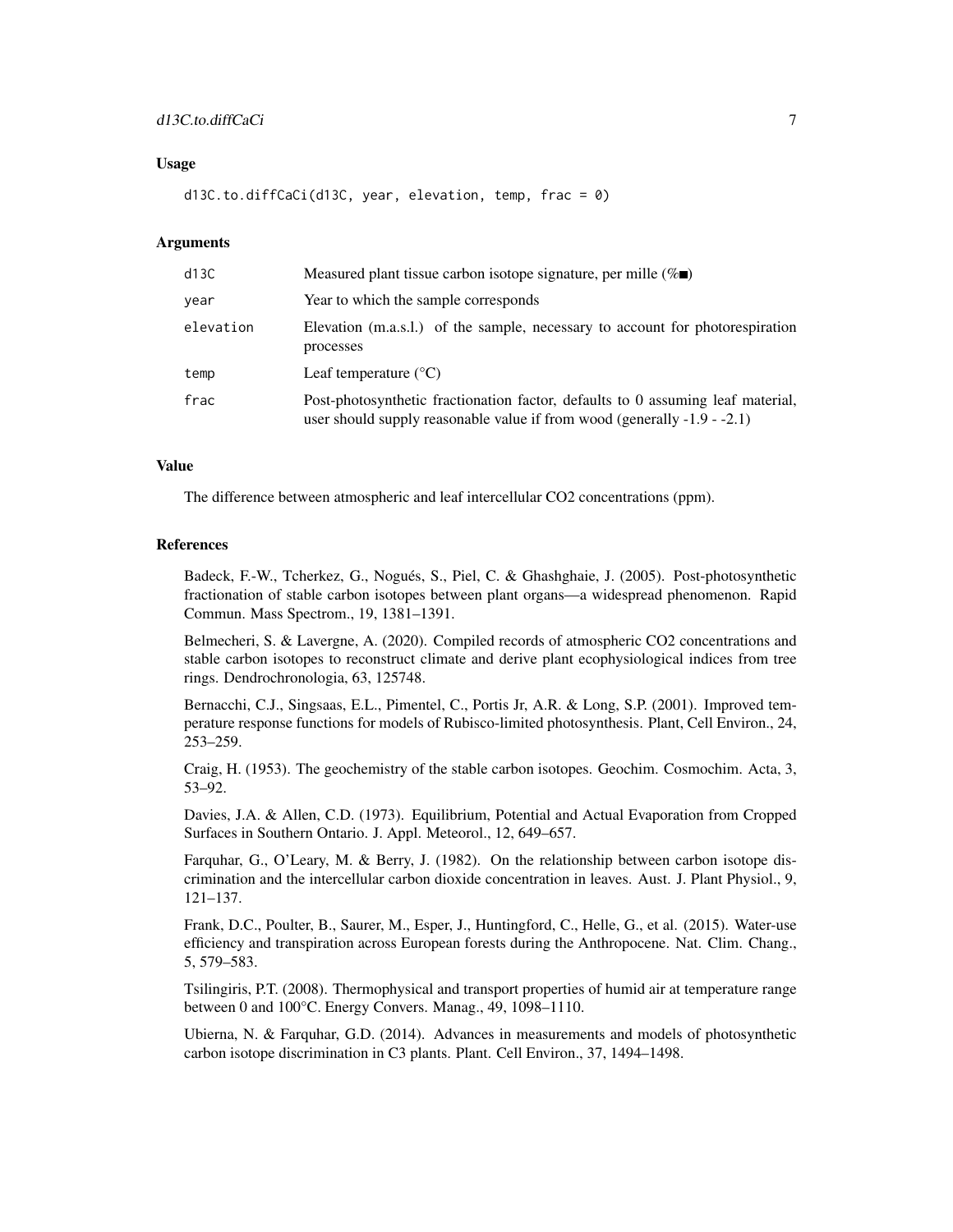# d13C.to.diffCaCi 7

# Usage

d13C.to.diffCaCi(d13C, year, elevation, temp, frac = 0)

# Arguments

| d13C      | Measured plant tissue carbon isotope signature, per mille $(\%$                                                                                                |
|-----------|----------------------------------------------------------------------------------------------------------------------------------------------------------------|
| year      | Year to which the sample corresponds                                                                                                                           |
| elevation | Elevation (m.a.s.l.) of the sample, necessary to account for photorespiration<br>processes                                                                     |
| temp      | Leaf temperature $(^{\circ}C)$                                                                                                                                 |
| frac      | Post-photosynthetic fractionation factor, defaults to 0 assuming leaf material,<br>user should supply reasonable value if from wood (generally $-1.9 - -2.1$ ) |

### Value

The difference between atmospheric and leaf intercellular CO2 concentrations (ppm).

#### References

Badeck, F.-W., Tcherkez, G., Nogués, S., Piel, C. & Ghashghaie, J. (2005). Post-photosynthetic fractionation of stable carbon isotopes between plant organs—a widespread phenomenon. Rapid Commun. Mass Spectrom., 19, 1381–1391.

Belmecheri, S. & Lavergne, A. (2020). Compiled records of atmospheric CO2 concentrations and stable carbon isotopes to reconstruct climate and derive plant ecophysiological indices from tree rings. Dendrochronologia, 63, 125748.

Bernacchi, C.J., Singsaas, E.L., Pimentel, C., Portis Jr, A.R. & Long, S.P. (2001). Improved temperature response functions for models of Rubisco-limited photosynthesis. Plant, Cell Environ., 24, 253–259.

Craig, H. (1953). The geochemistry of the stable carbon isotopes. Geochim. Cosmochim. Acta, 3, 53–92.

Davies, J.A. & Allen, C.D. (1973). Equilibrium, Potential and Actual Evaporation from Cropped Surfaces in Southern Ontario. J. Appl. Meteorol., 12, 649–657.

Farquhar, G., O'Leary, M. & Berry, J. (1982). On the relationship between carbon isotope discrimination and the intercellular carbon dioxide concentration in leaves. Aust. J. Plant Physiol., 9, 121–137.

Frank, D.C., Poulter, B., Saurer, M., Esper, J., Huntingford, C., Helle, G., et al. (2015). Water-use efficiency and transpiration across European forests during the Anthropocene. Nat. Clim. Chang., 5, 579–583.

Tsilingiris, P.T. (2008). Thermophysical and transport properties of humid air at temperature range between 0 and 100°C. Energy Convers. Manag., 49, 1098–1110.

Ubierna, N. & Farquhar, G.D. (2014). Advances in measurements and models of photosynthetic carbon isotope discrimination in C3 plants. Plant. Cell Environ., 37, 1494–1498.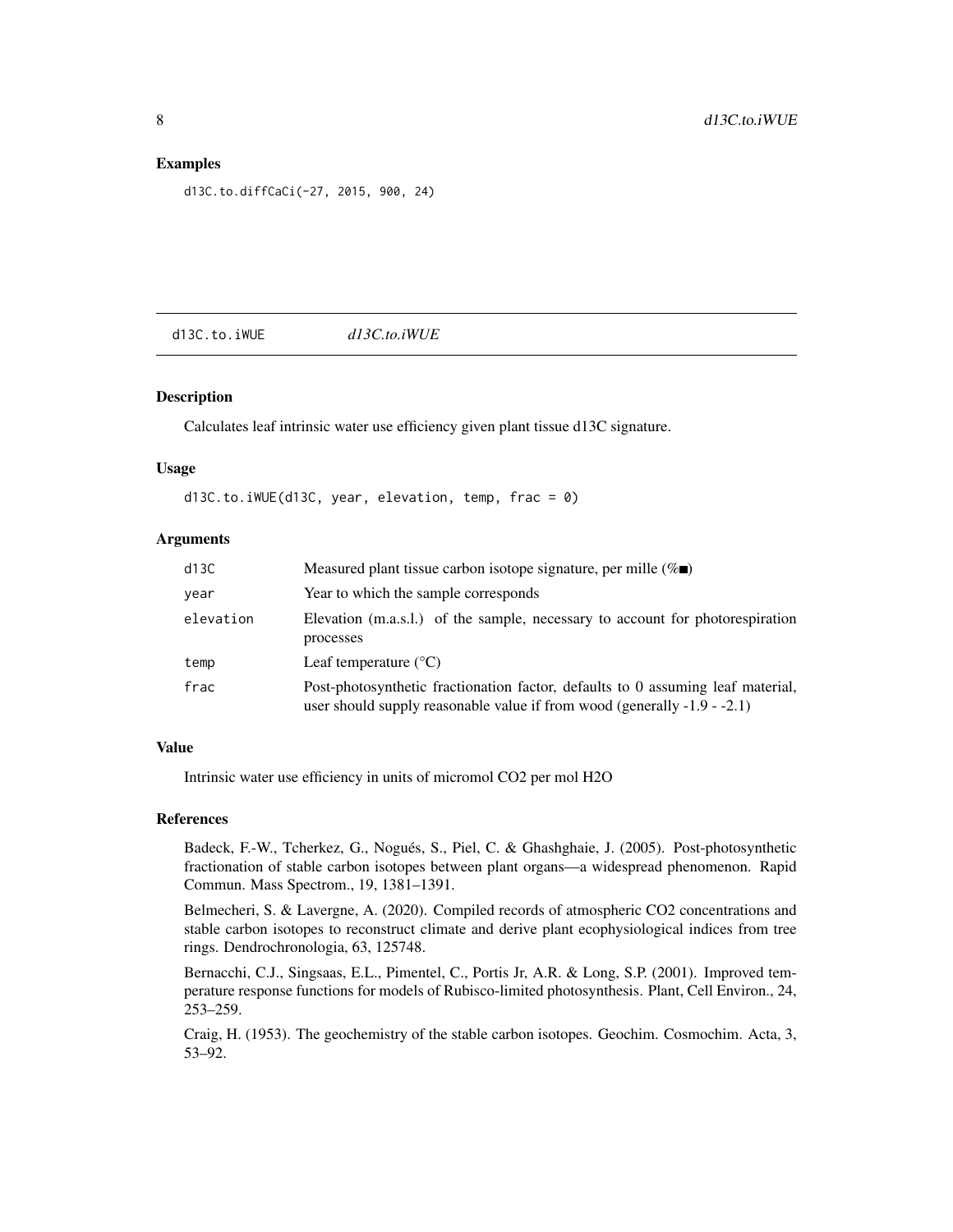# <span id="page-7-0"></span>Examples

d13C.to.diffCaCi(-27, 2015, 900, 24)

d13C.to.iWUE *d13C.to.iWUE*

# Description

Calculates leaf intrinsic water use efficiency given plant tissue d13C signature.

# Usage

d13C.to.iWUE(d13C, year, elevation, temp, frac = 0)

# Arguments

| d13C      | Measured plant tissue carbon isotope signature, per mille $(\%$                                                                                                |
|-----------|----------------------------------------------------------------------------------------------------------------------------------------------------------------|
| year      | Year to which the sample corresponds                                                                                                                           |
| elevation | Elevation (m.a.s.l.) of the sample, necessary to account for photorespiration<br>processes                                                                     |
| temp      | Leaf temperature $(^{\circ}C)$                                                                                                                                 |
| frac      | Post-photosynthetic fractionation factor, defaults to 0 assuming leaf material,<br>user should supply reasonable value if from wood (generally $-1.9 - -2.1$ ) |

#### Value

Intrinsic water use efficiency in units of micromol CO2 per mol H2O

# References

Badeck, F.-W., Tcherkez, G., Nogués, S., Piel, C. & Ghashghaie, J. (2005). Post-photosynthetic fractionation of stable carbon isotopes between plant organs—a widespread phenomenon. Rapid Commun. Mass Spectrom., 19, 1381–1391.

Belmecheri, S. & Lavergne, A. (2020). Compiled records of atmospheric CO2 concentrations and stable carbon isotopes to reconstruct climate and derive plant ecophysiological indices from tree rings. Dendrochronologia, 63, 125748.

Bernacchi, C.J., Singsaas, E.L., Pimentel, C., Portis Jr, A.R. & Long, S.P. (2001). Improved temperature response functions for models of Rubisco-limited photosynthesis. Plant, Cell Environ., 24, 253–259.

Craig, H. (1953). The geochemistry of the stable carbon isotopes. Geochim. Cosmochim. Acta, 3, 53–92.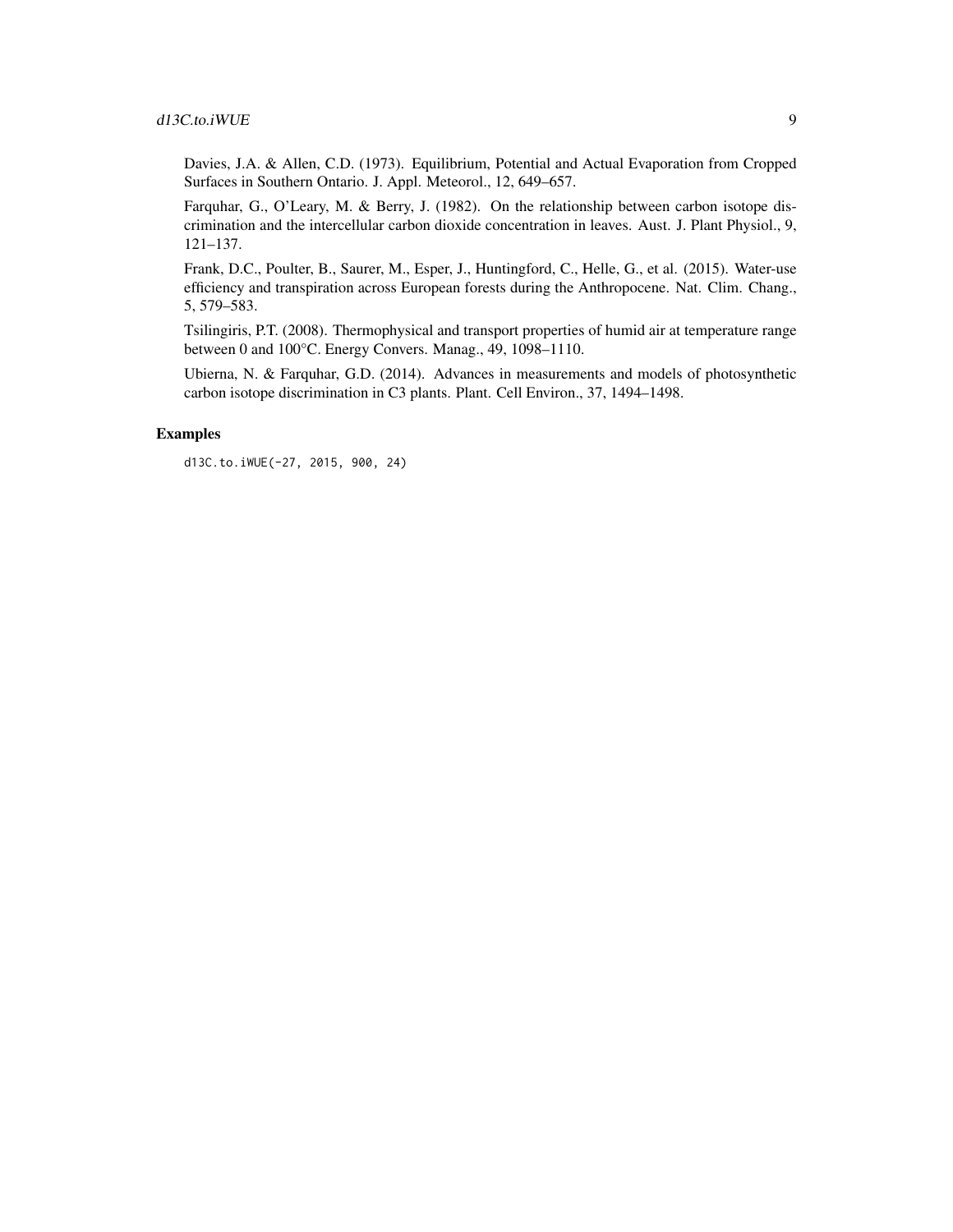# d13C.to.iWUE 9

Davies, J.A. & Allen, C.D. (1973). Equilibrium, Potential and Actual Evaporation from Cropped Surfaces in Southern Ontario. J. Appl. Meteorol., 12, 649–657.

Farquhar, G., O'Leary, M. & Berry, J. (1982). On the relationship between carbon isotope discrimination and the intercellular carbon dioxide concentration in leaves. Aust. J. Plant Physiol., 9, 121–137.

Frank, D.C., Poulter, B., Saurer, M., Esper, J., Huntingford, C., Helle, G., et al. (2015). Water-use efficiency and transpiration across European forests during the Anthropocene. Nat. Clim. Chang., 5, 579–583.

Tsilingiris, P.T. (2008). Thermophysical and transport properties of humid air at temperature range between 0 and 100°C. Energy Convers. Manag., 49, 1098–1110.

Ubierna, N. & Farquhar, G.D. (2014). Advances in measurements and models of photosynthetic carbon isotope discrimination in C3 plants. Plant. Cell Environ., 37, 1494–1498.

# Examples

d13C.to.iWUE(-27, 2015, 900, 24)